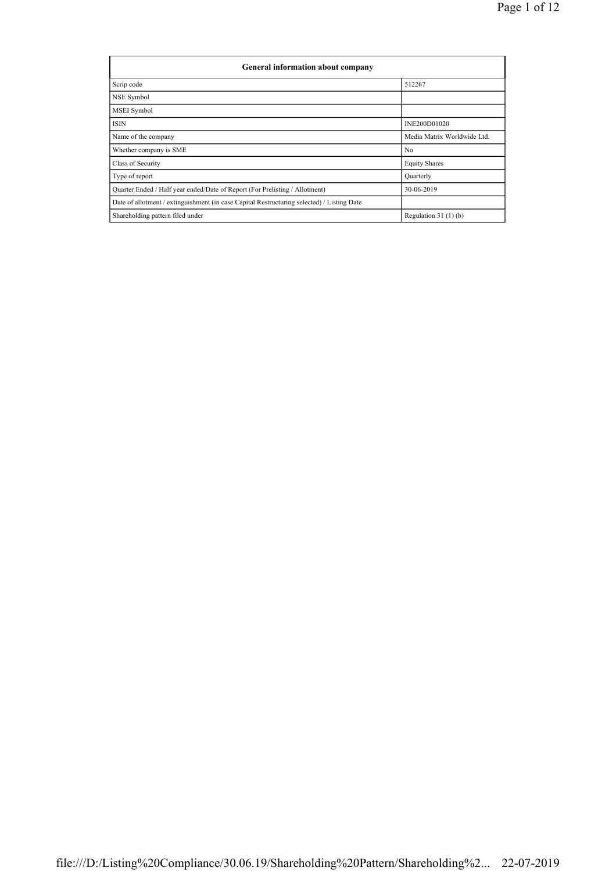| General information about company                                                          |                             |  |  |  |  |  |
|--------------------------------------------------------------------------------------------|-----------------------------|--|--|--|--|--|
| Scrip code                                                                                 | 512267                      |  |  |  |  |  |
| NSE Symbol                                                                                 |                             |  |  |  |  |  |
| <b>MSEI</b> Symbol                                                                         |                             |  |  |  |  |  |
| <b>ISIN</b>                                                                                | INE200D01020                |  |  |  |  |  |
| Name of the company                                                                        | Media Matrix Worldwide Ltd. |  |  |  |  |  |
| Whether company is SME                                                                     | N <sub>0</sub>              |  |  |  |  |  |
| Class of Security                                                                          | <b>Equity Shares</b>        |  |  |  |  |  |
| Type of report                                                                             | Quarterly                   |  |  |  |  |  |
| Quarter Ended / Half year ended/Date of Report (For Prelisting / Allotment)                | 30-06-2019                  |  |  |  |  |  |
| Date of allotment / extinguishment (in case Capital Restructuring selected) / Listing Date |                             |  |  |  |  |  |
| Shareholding pattern filed under                                                           | Regulation $31(1)(b)$       |  |  |  |  |  |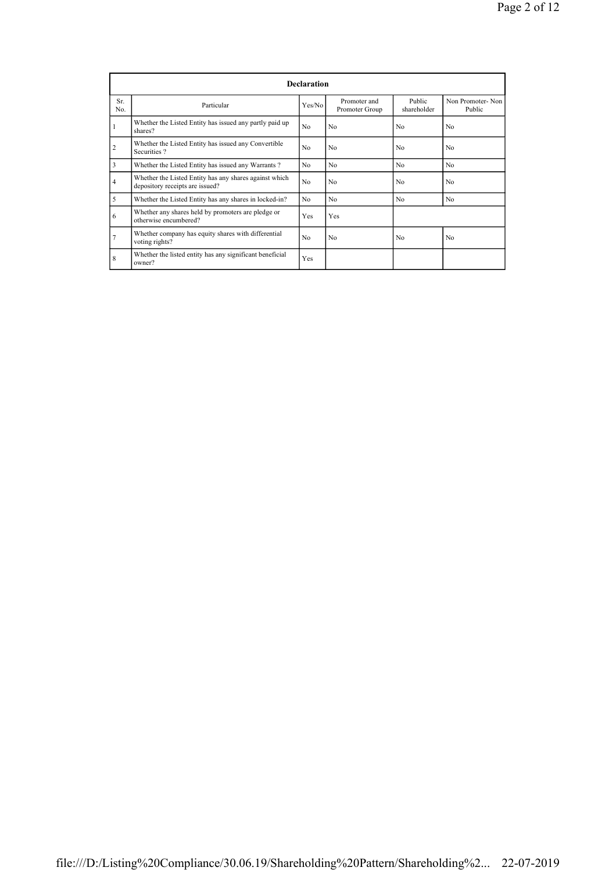|                 | <b>Declaration</b>                                                                        |                |                                |                       |                            |  |  |  |
|-----------------|-------------------------------------------------------------------------------------------|----------------|--------------------------------|-----------------------|----------------------------|--|--|--|
| Sr.<br>No.      | Particular                                                                                | Yes/No         | Promoter and<br>Promoter Group | Public<br>shareholder | Non Promoter-Non<br>Public |  |  |  |
| -1              | Whether the Listed Entity has issued any partly paid up<br>shares?                        | N <sub>0</sub> | N <sub>0</sub>                 | N <sub>0</sub>        | N <sub>0</sub>             |  |  |  |
| $\overline{2}$  | Whether the Listed Entity has issued any Convertible<br>Securities?                       | No             | N <sub>0</sub>                 | N <sub>0</sub>        | N <sub>0</sub>             |  |  |  |
| 3               | Whether the Listed Entity has issued any Warrants?                                        | No             | N <sub>0</sub>                 | N <sub>0</sub>        | N <sub>0</sub>             |  |  |  |
| $\overline{4}$  | Whether the Listed Entity has any shares against which<br>depository receipts are issued? | N <sub>0</sub> | N <sub>0</sub>                 | N <sub>0</sub>        | N <sub>0</sub>             |  |  |  |
| 5               | Whether the Listed Entity has any shares in locked-in?                                    | No             | N <sub>0</sub>                 | N <sub>0</sub>        | N <sub>0</sub>             |  |  |  |
| 6               | Whether any shares held by promoters are pledge or<br>otherwise encumbered?               | Yes            | Yes                            |                       |                            |  |  |  |
| $7\phantom{.0}$ | Whether company has equity shares with differential<br>voting rights?                     | N <sub>0</sub> | N <sub>0</sub>                 | N <sub>0</sub>        | N <sub>0</sub>             |  |  |  |
| 8               | Whether the listed entity has any significant beneficial<br>owner?                        | Yes            |                                |                       |                            |  |  |  |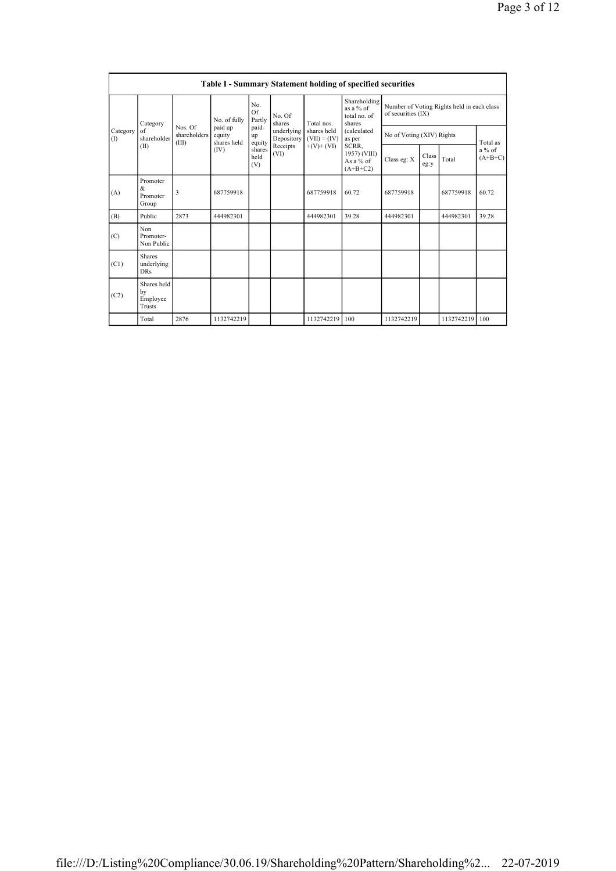|                 | <b>Table I - Summary Statement holding of specified securities</b> |                                  |                                  |                       |                          |                                                           |                                                                                                                                         |                                                                  |               |            |                                   |
|-----------------|--------------------------------------------------------------------|----------------------------------|----------------------------------|-----------------------|--------------------------|-----------------------------------------------------------|-----------------------------------------------------------------------------------------------------------------------------------------|------------------------------------------------------------------|---------------|------------|-----------------------------------|
|                 | Category                                                           |                                  | No. of fully                     | No.<br>Of<br>Partly   | No. Of<br>shares         | Total nos<br>shares held<br>$(VII) = (IV)$<br>$+(V)+(VI)$ | Shareholding<br>as a % of<br>total no. of<br>shares<br><i>(calculated</i><br>as per<br>SCRR,<br>1957) (VIII)<br>As a % of<br>$(A+B+C2)$ | Number of Voting Rights held in each class<br>of securities (IX) |               |            |                                   |
| Category<br>(1) | of<br>shareholder                                                  | Nos. Of<br>shareholders<br>(III) | paid up<br>equity<br>shares held | paid-<br>up<br>equity | underlying<br>Depository |                                                           |                                                                                                                                         | No of Voting (XIV) Rights                                        |               |            |                                   |
| (II)            |                                                                    |                                  | (IV)                             | shares<br>held<br>(V) | Receipts<br>(VI)         |                                                           |                                                                                                                                         | Class eg: X                                                      | Class<br>eg:y | Total      | Total as<br>$a\%$ of<br>$(A+B+C)$ |
| (A)             | Promoter<br>&<br>Promoter<br>Group                                 | 3                                | 687759918                        |                       |                          | 687759918                                                 | 60.72                                                                                                                                   | 687759918                                                        |               | 687759918  | 60.72                             |
| (B)             | Public                                                             | 2873                             | 444982301                        |                       |                          | 444982301                                                 | 39.28                                                                                                                                   | 444982301                                                        |               | 444982301  | 39.28                             |
| (C)             | Non<br>Promoter-<br>Non Public                                     |                                  |                                  |                       |                          |                                                           |                                                                                                                                         |                                                                  |               |            |                                   |
| (C1)            | <b>Shares</b><br>underlying<br><b>DRs</b>                          |                                  |                                  |                       |                          |                                                           |                                                                                                                                         |                                                                  |               |            |                                   |
| (C2)            | Shares held<br>by<br>Employee<br>Trusts                            |                                  |                                  |                       |                          |                                                           |                                                                                                                                         |                                                                  |               |            |                                   |
|                 | Total                                                              | 2876                             | 1132742219                       |                       |                          | 1132742219                                                | 100                                                                                                                                     | 1132742219                                                       |               | 1132742219 | 100                               |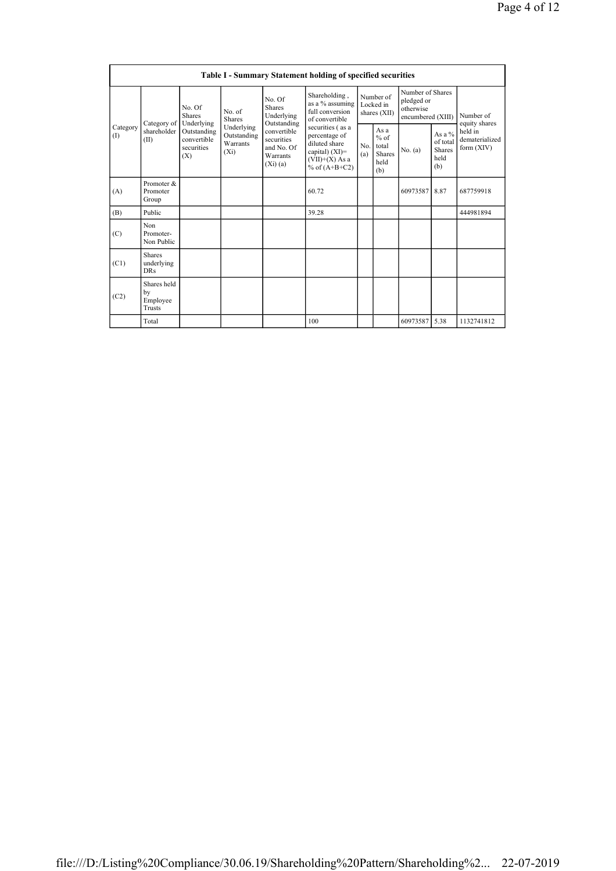|                 | Table I - Summary Statement holding of specified securities |                                                               |                                                  |                                                                                                                                                                                  |                                                                       |                                                  |           |                                                                  |                                           |                            |
|-----------------|-------------------------------------------------------------|---------------------------------------------------------------|--------------------------------------------------|----------------------------------------------------------------------------------------------------------------------------------------------------------------------------------|-----------------------------------------------------------------------|--------------------------------------------------|-----------|------------------------------------------------------------------|-------------------------------------------|----------------------------|
|                 | Category of                                                 | No. Of<br><b>Shares</b>                                       | No. of<br><b>Shares</b>                          | No. Of<br>Shares<br>Underlying<br>Outstanding                                                                                                                                    | Shareholding,<br>as a % assuming<br>full conversion<br>of convertible | Number of<br>Locked in<br>shares (XII)           |           | Number of Shares<br>pledged or<br>otherwise<br>encumbered (XIII) |                                           | Number of<br>equity shares |
| Category<br>(I) | shareholder<br>(II)                                         | Underlying<br>Outstanding<br>convertible<br>securities<br>(X) | Underlying<br>Outstanding<br>Warrants<br>$(X_i)$ | securities (as a<br>convertible<br>percentage of<br>securities<br>diluted share<br>and No. Of<br>capital) $(XI)$ =<br>Warrants<br>$(VII)+(X)$ As a<br>(Xi)(a)<br>% of $(A+B+C2)$ | No.<br>(a)                                                            | As a<br>$%$ of<br>total<br>Shares<br>held<br>(b) | No. $(a)$ | As a $%$<br>of total<br><b>Shares</b><br>held<br>(b)             | held in<br>dematerialized<br>form $(XIV)$ |                            |
| (A)             | Promoter &<br>Promoter<br>Group                             |                                                               |                                                  |                                                                                                                                                                                  | 60.72                                                                 |                                                  |           | 60973587                                                         | 8.87                                      | 687759918                  |
| (B)             | Public                                                      |                                                               |                                                  |                                                                                                                                                                                  | 39.28                                                                 |                                                  |           |                                                                  |                                           | 444981894                  |
| (C)             | Non<br>Promoter-<br>Non Public                              |                                                               |                                                  |                                                                                                                                                                                  |                                                                       |                                                  |           |                                                                  |                                           |                            |
| (C1)            | <b>Shares</b><br>underlying<br>DRs                          |                                                               |                                                  |                                                                                                                                                                                  |                                                                       |                                                  |           |                                                                  |                                           |                            |
| (C2)            | Shares held<br>by<br>Employee<br>Trusts                     |                                                               |                                                  |                                                                                                                                                                                  |                                                                       |                                                  |           |                                                                  |                                           |                            |
|                 | Total                                                       |                                                               |                                                  |                                                                                                                                                                                  | 100                                                                   |                                                  |           | 60973587                                                         | 5.38                                      | 1132741812                 |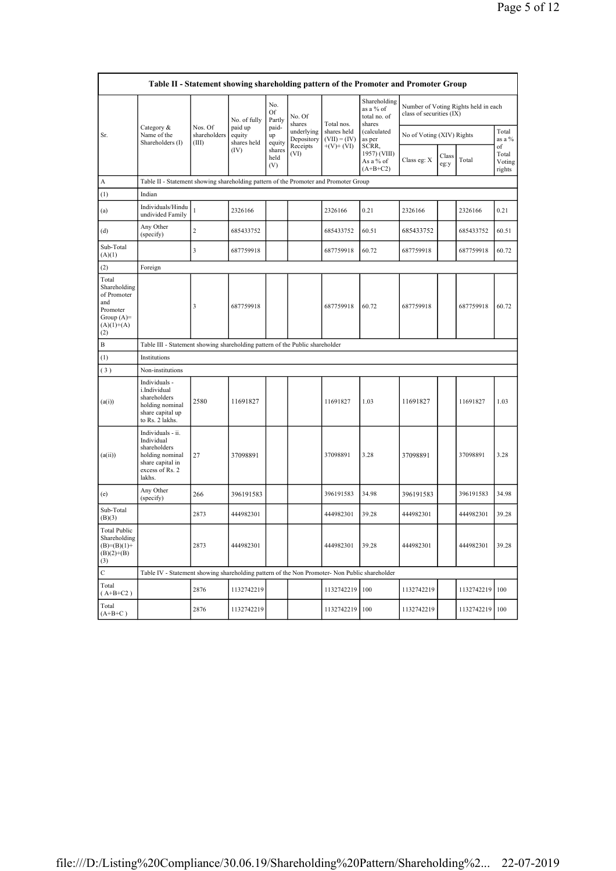| Table II - Statement showing shareholding pattern of the Promoter and Promoter Group           |                                                                                                                     |                                  |                                  |                       |                          |                               |                                                     |                                                                  |               |            |                                 |
|------------------------------------------------------------------------------------------------|---------------------------------------------------------------------------------------------------------------------|----------------------------------|----------------------------------|-----------------------|--------------------------|-------------------------------|-----------------------------------------------------|------------------------------------------------------------------|---------------|------------|---------------------------------|
|                                                                                                |                                                                                                                     |                                  | No. of fully                     | No.<br>Of<br>Partly   | No. Of<br>shares         | Total nos.                    | Shareholding<br>as a % of<br>total no. of<br>shares | Number of Voting Rights held in each<br>class of securities (IX) |               |            |                                 |
| Sr.                                                                                            | Category &<br>Name of the<br>Shareholders (I)                                                                       | Nos. Of<br>shareholders<br>(III) | paid up<br>equity<br>shares held | paid-<br>up<br>equity | underlying<br>Depository | shares held<br>$(VII) = (IV)$ | (calculated<br>as per                               | No of Voting (XIV) Rights                                        |               |            | Total<br>as a $%$               |
|                                                                                                |                                                                                                                     |                                  | (IV)                             | shares<br>held<br>(V) | Receipts<br>(VI)         | $+(V)+(VI)$                   | SCRR,<br>1957) (VIII)<br>As a % of<br>$(A+B+C2)$    | Class eg: X                                                      | Class<br>eg:y | Total      | of<br>Total<br>Voting<br>rights |
| А                                                                                              | Table II - Statement showing shareholding pattern of the Promoter and Promoter Group                                |                                  |                                  |                       |                          |                               |                                                     |                                                                  |               |            |                                 |
| (1)                                                                                            | Indian                                                                                                              |                                  |                                  |                       |                          |                               |                                                     |                                                                  |               |            |                                 |
| (a)                                                                                            | Individuals/Hindu<br>undivided Family                                                                               | $\mathbf{1}$                     | 2326166                          |                       |                          | 2326166                       | 0.21                                                | 2326166                                                          |               | 2326166    | 0.21                            |
| (d)                                                                                            | Any Other<br>(specify)                                                                                              | $\overline{c}$                   | 685433752                        |                       |                          | 685433752                     | 60.51                                               | 685433752                                                        |               | 685433752  | 60.51                           |
| Sub-Total<br>(A)(1)                                                                            |                                                                                                                     | $\overline{\mathbf{3}}$          | 687759918                        |                       |                          | 687759918                     | 60.72                                               | 687759918                                                        |               | 687759918  | 60.72                           |
| (2)                                                                                            | Foreign                                                                                                             |                                  |                                  |                       |                          |                               |                                                     |                                                                  |               |            |                                 |
| Total<br>Shareholding<br>of Promoter<br>and<br>Promoter<br>Group $(A)=$<br>$(A)(1)+(A)$<br>(2) |                                                                                                                     | 3                                | 687759918                        |                       |                          | 687759918                     | 60.72                                               | 687759918                                                        |               | 687759918  | 60.72                           |
| $\, {\bf B}$                                                                                   | Table III - Statement showing shareholding pattern of the Public shareholder                                        |                                  |                                  |                       |                          |                               |                                                     |                                                                  |               |            |                                 |
| (1)                                                                                            | Institutions                                                                                                        |                                  |                                  |                       |                          |                               |                                                     |                                                                  |               |            |                                 |
| (3)                                                                                            | Non-institutions                                                                                                    |                                  |                                  |                       |                          |                               |                                                     |                                                                  |               |            |                                 |
| (a(i))                                                                                         | Individuals -<br>i.Individual<br>shareholders<br>holding nominal<br>share capital up<br>to Rs. 2 lakhs.             | 2580                             | 11691827                         |                       |                          | 11691827                      | 1.03                                                | 11691827                                                         |               | 11691827   | 1.03                            |
| (a(ii))                                                                                        | Individuals - ii.<br>Individual<br>shareholders<br>holding nominal<br>share capital in<br>excess of Rs. 2<br>lakhs. | 27                               | 37098891                         |                       |                          | 37098891                      | 3.28                                                | 37098891                                                         |               | 37098891   | 3.28                            |
| (e)                                                                                            | Any Other<br>(specify)                                                                                              | 266                              | 396191583                        |                       |                          | 396191583                     | 34.98                                               | 396191583                                                        |               | 396191583  | 34.98                           |
| Sub-Total<br>(B)(3)                                                                            |                                                                                                                     | 2873                             | 444982301                        |                       |                          | 444982301                     | 39.28                                               | 444982301                                                        |               | 444982301  | 39.28                           |
| <b>Total Public</b><br>Shareholding<br>$(B)=(B)(1)+$<br>$(B)(2)+(B)$<br>(3)                    |                                                                                                                     | 2873                             | 444982301                        |                       |                          | 444982301                     | 39.28                                               | 444982301                                                        |               | 444982301  | 39.28                           |
| C                                                                                              | Table IV - Statement showing shareholding pattern of the Non Promoter- Non Public shareholder                       |                                  |                                  |                       |                          |                               |                                                     |                                                                  |               |            |                                 |
| Total<br>$(A+B+C2)$                                                                            |                                                                                                                     | 2876                             | 1132742219                       |                       |                          | 1132742219                    | 100                                                 | 1132742219                                                       |               | 1132742219 | 100                             |
| Total<br>$(A+B+C)$                                                                             |                                                                                                                     | 2876                             | 1132742219                       |                       |                          | 1132742219                    | 100                                                 | 1132742219                                                       |               | 1132742219 | 100                             |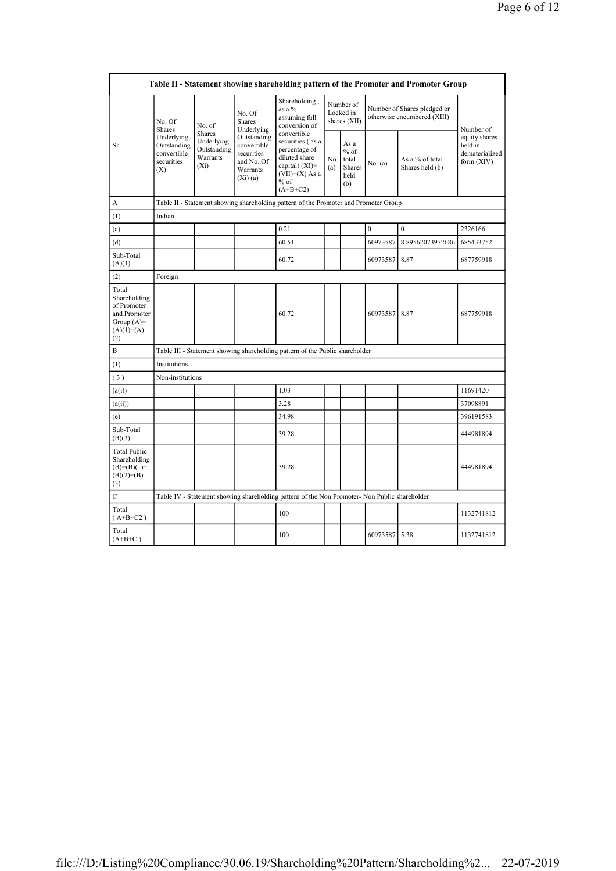| Table II - Statement showing shareholding pattern of the Promoter and Promoter Group        |                                                               |                                                                   |                                                                               |                                                                                                                                    |                                        |                                                         |               |                                                            |                                                          |
|---------------------------------------------------------------------------------------------|---------------------------------------------------------------|-------------------------------------------------------------------|-------------------------------------------------------------------------------|------------------------------------------------------------------------------------------------------------------------------------|----------------------------------------|---------------------------------------------------------|---------------|------------------------------------------------------------|----------------------------------------------------------|
| Sr.                                                                                         | No. Of<br><b>Shares</b>                                       | No. of                                                            | No. Of<br><b>Shares</b><br>Underlying                                         | Shareholding,<br>as a %<br>assuming full<br>conversion of                                                                          | Number of<br>Locked in<br>shares (XII) |                                                         |               | Number of Shares pledged or<br>otherwise encumbered (XIII) | Number of                                                |
|                                                                                             | Underlying<br>Outstanding<br>convertible<br>securities<br>(X) | <b>Shares</b><br>Underlying<br>Outstanding<br>Warrants<br>$(X_i)$ | Outstanding<br>convertible<br>securities<br>and No. Of<br>Warrants<br>(Xi)(a) | convertible<br>securities (as a<br>percentage of<br>diluted share<br>capital) $(XI)$ =<br>$(VII)+(X)$ As a<br>$%$ of<br>$(A+B+C2)$ | No.<br>(a)                             | As a<br>$%$ of<br>total<br><b>Shares</b><br>held<br>(b) | No. (a)       | As a % of total<br>Shares held (b)                         | equity shares<br>held in<br>dematerialized<br>form (XIV) |
| A                                                                                           |                                                               |                                                                   |                                                                               | Table II - Statement showing shareholding pattern of the Promoter and Promoter Group                                               |                                        |                                                         |               |                                                            |                                                          |
| (1)                                                                                         | Indian                                                        |                                                                   |                                                                               |                                                                                                                                    |                                        |                                                         |               |                                                            |                                                          |
| (a)                                                                                         |                                                               |                                                                   |                                                                               | 0.21                                                                                                                               |                                        |                                                         | $\theta$      | $\mathbf{0}$                                               | 2326166                                                  |
| (d)                                                                                         |                                                               |                                                                   |                                                                               | 60.51                                                                                                                              |                                        |                                                         | 60973587      | 8.89562073972686                                           | 685433752                                                |
| Sub-Total<br>(A)(1)                                                                         |                                                               |                                                                   |                                                                               | 60.72                                                                                                                              |                                        |                                                         | 60973587      | 8.87                                                       | 687759918                                                |
| (2)                                                                                         | Foreign                                                       |                                                                   |                                                                               |                                                                                                                                    |                                        |                                                         |               |                                                            |                                                          |
| Total<br>Shareholding<br>of Promoter<br>and Promoter<br>Group $(A)=$<br>$(A)(1)+(A)$<br>(2) |                                                               |                                                                   |                                                                               | 60.72                                                                                                                              |                                        |                                                         | 60973587 8.87 |                                                            | 687759918                                                |
| B                                                                                           |                                                               |                                                                   |                                                                               | Table III - Statement showing shareholding pattern of the Public shareholder                                                       |                                        |                                                         |               |                                                            |                                                          |
| (1)                                                                                         | Institutions                                                  |                                                                   |                                                                               |                                                                                                                                    |                                        |                                                         |               |                                                            |                                                          |
| (3)                                                                                         | Non-institutions                                              |                                                                   |                                                                               |                                                                                                                                    |                                        |                                                         |               |                                                            |                                                          |
| (a(i))                                                                                      |                                                               |                                                                   |                                                                               | 1.03                                                                                                                               |                                        |                                                         |               |                                                            | 11691420                                                 |
| (a(ii))                                                                                     |                                                               |                                                                   |                                                                               | 3.28                                                                                                                               |                                        |                                                         |               |                                                            | 37098891                                                 |
| (e)                                                                                         |                                                               |                                                                   |                                                                               | 34.98                                                                                                                              |                                        |                                                         |               |                                                            | 396191583                                                |
| Sub-Total<br>(B)(3)                                                                         |                                                               |                                                                   |                                                                               | 39.28                                                                                                                              |                                        |                                                         |               |                                                            | 444981894                                                |
| <b>Total Public</b><br>Shareholding<br>$(B)=(B)(1)+$<br>$(B)(2)+(B)$<br>(3)                 |                                                               |                                                                   |                                                                               | 39.28                                                                                                                              |                                        |                                                         |               |                                                            | 444981894                                                |
| $\mathbf C$                                                                                 |                                                               |                                                                   |                                                                               | Table IV - Statement showing shareholding pattern of the Non Promoter- Non Public shareholder                                      |                                        |                                                         |               |                                                            |                                                          |
| Total<br>$(A+B+C2)$                                                                         |                                                               |                                                                   |                                                                               | 100                                                                                                                                |                                        |                                                         |               |                                                            | 1132741812                                               |
| Total<br>$(A+B+C)$                                                                          |                                                               |                                                                   |                                                                               | 100                                                                                                                                |                                        |                                                         | 60973587      | 5.38                                                       | 1132741812                                               |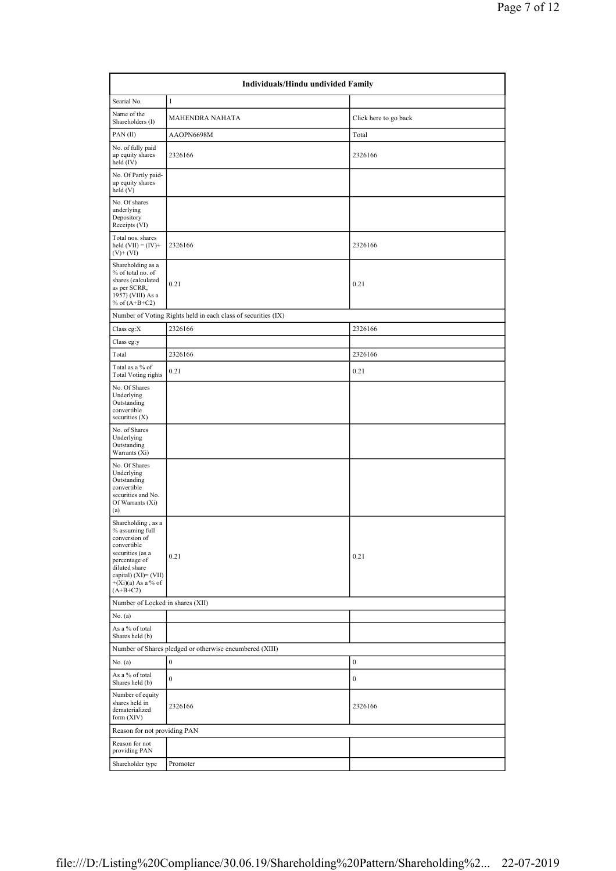| Individuals/Hindu undivided Family                                                                                                                                                        |                                                               |                       |  |  |  |  |  |
|-------------------------------------------------------------------------------------------------------------------------------------------------------------------------------------------|---------------------------------------------------------------|-----------------------|--|--|--|--|--|
| Searial No.                                                                                                                                                                               | 1                                                             |                       |  |  |  |  |  |
| Name of the<br>Shareholders (I)                                                                                                                                                           | <b>MAHENDRA NAHATA</b>                                        | Click here to go back |  |  |  |  |  |
| PAN(II)                                                                                                                                                                                   | AAOPN6698M                                                    | Total                 |  |  |  |  |  |
| No. of fully paid<br>up equity shares<br>held (IV)                                                                                                                                        | 2326166                                                       | 2326166               |  |  |  |  |  |
| No. Of Partly paid-<br>up equity shares<br>held (V)                                                                                                                                       |                                                               |                       |  |  |  |  |  |
| No. Of shares<br>underlying<br>Depository<br>Receipts (VI)                                                                                                                                |                                                               |                       |  |  |  |  |  |
| Total nos. shares<br>held $(VII) = (IV) +$<br>$(V)$ + $(VI)$                                                                                                                              | 2326166                                                       | 2326166               |  |  |  |  |  |
| Shareholding as a<br>% of total no. of<br>shares (calculated<br>as per SCRR,<br>1957) (VIII) As a<br>% of $(A+B+C2)$                                                                      | 0.21                                                          | 0.21                  |  |  |  |  |  |
|                                                                                                                                                                                           | Number of Voting Rights held in each class of securities (IX) |                       |  |  |  |  |  |
| Class eg:X                                                                                                                                                                                | 2326166                                                       | 2326166               |  |  |  |  |  |
| Class eg:y                                                                                                                                                                                |                                                               |                       |  |  |  |  |  |
| Total                                                                                                                                                                                     | 2326166                                                       | 2326166               |  |  |  |  |  |
| Total as a % of<br><b>Total Voting rights</b>                                                                                                                                             | 0.21                                                          | 0.21                  |  |  |  |  |  |
| No. Of Shares<br>Underlying<br>Outstanding<br>convertible<br>securities $(X)$                                                                                                             |                                                               |                       |  |  |  |  |  |
| No. of Shares<br>Underlying<br>Outstanding<br>Warrants (Xi)                                                                                                                               |                                                               |                       |  |  |  |  |  |
| No. Of Shares<br>Underlying<br>Outstanding<br>convertible<br>securities and No.<br>Of Warrants (Xi)<br>(a)                                                                                |                                                               |                       |  |  |  |  |  |
| Shareholding, as a<br>% assuming full<br>conversion of<br>convertible<br>securities (as a<br>percentage of<br>diluted share<br>capital) (XI)= (VII)<br>$+(Xi)(a)$ As a % of<br>$(A+B+C2)$ | 0.21                                                          | 0.21                  |  |  |  |  |  |
| Number of Locked in shares (XII)                                                                                                                                                          |                                                               |                       |  |  |  |  |  |
| No. (a)                                                                                                                                                                                   |                                                               |                       |  |  |  |  |  |
| As a % of total<br>Shares held (b)                                                                                                                                                        |                                                               |                       |  |  |  |  |  |
| Number of Shares pledged or otherwise encumbered (XIII)                                                                                                                                   |                                                               |                       |  |  |  |  |  |
| No. (a)                                                                                                                                                                                   | $\boldsymbol{0}$                                              | $\boldsymbol{0}$      |  |  |  |  |  |
| As a % of total<br>Shares held (b)                                                                                                                                                        | $\boldsymbol{0}$                                              | $\boldsymbol{0}$      |  |  |  |  |  |
| Number of equity<br>shares held in<br>dematerialized<br>form (XIV)                                                                                                                        | 2326166                                                       | 2326166               |  |  |  |  |  |
| Reason for not providing PAN                                                                                                                                                              |                                                               |                       |  |  |  |  |  |
| Reason for not<br>providing PAN                                                                                                                                                           |                                                               |                       |  |  |  |  |  |
| Shareholder type                                                                                                                                                                          | Promoter                                                      |                       |  |  |  |  |  |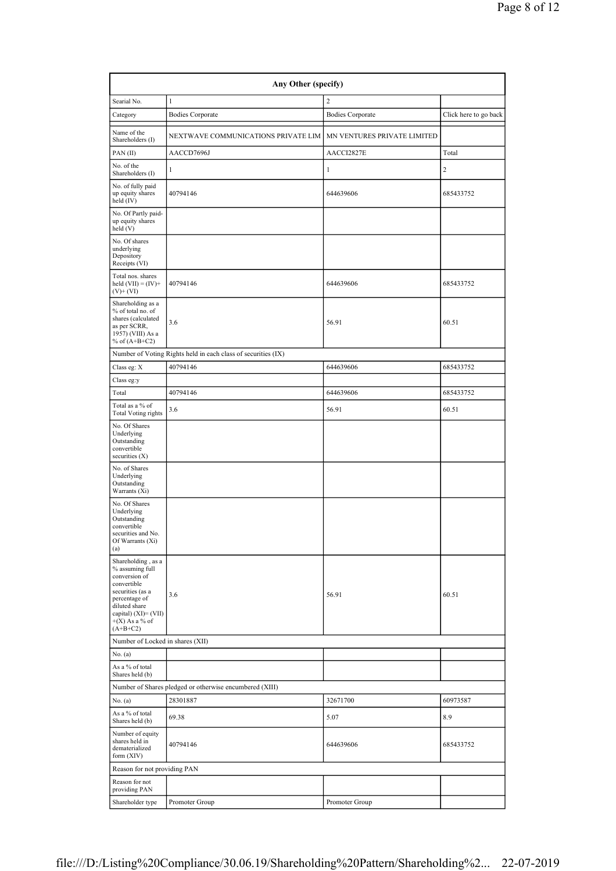| Any Other (specify)                                                                                                                                                                   |                                                               |                             |                       |  |  |  |  |
|---------------------------------------------------------------------------------------------------------------------------------------------------------------------------------------|---------------------------------------------------------------|-----------------------------|-----------------------|--|--|--|--|
| Searial No.                                                                                                                                                                           | $\mathbf{1}$                                                  | $\overline{c}$              |                       |  |  |  |  |
| Category                                                                                                                                                                              | <b>Bodies Corporate</b>                                       | <b>Bodies Corporate</b>     | Click here to go back |  |  |  |  |
| Name of the<br>Shareholders (I)                                                                                                                                                       | NEXTWAVE COMMUNICATIONS PRIVATE LIM                           | MN VENTURES PRIVATE LIMITED |                       |  |  |  |  |
| PAN(II)                                                                                                                                                                               | AACCD7696J                                                    | AACCI2827E                  | Total                 |  |  |  |  |
| No. of the<br>Shareholders (I)                                                                                                                                                        | 1                                                             | 1                           | $\sqrt{2}$            |  |  |  |  |
| No. of fully paid<br>up equity shares<br>held (IV)                                                                                                                                    | 40794146                                                      | 644639606                   | 685433752             |  |  |  |  |
| No. Of Partly paid-<br>up equity shares<br>held (V)                                                                                                                                   |                                                               |                             |                       |  |  |  |  |
| No. Of shares<br>underlying<br>Depository<br>Receipts (VI)                                                                                                                            |                                                               |                             |                       |  |  |  |  |
| Total nos. shares<br>held $(VII) = (IV) +$<br>$(V)$ + $(VI)$                                                                                                                          | 40794146                                                      | 644639606                   | 685433752             |  |  |  |  |
| Shareholding as a<br>% of total no. of<br>shares (calculated<br>as per SCRR,<br>1957) (VIII) As a<br>% of $(A+B+C2)$                                                                  | 3.6                                                           | 56.91                       | 60.51                 |  |  |  |  |
|                                                                                                                                                                                       | Number of Voting Rights held in each class of securities (IX) |                             |                       |  |  |  |  |
| Class eg: X                                                                                                                                                                           | 40794146                                                      | 644639606                   | 685433752             |  |  |  |  |
| Class eg:y                                                                                                                                                                            |                                                               |                             |                       |  |  |  |  |
| Total<br>Total as a % of                                                                                                                                                              | 40794146                                                      | 644639606                   | 685433752             |  |  |  |  |
| <b>Total Voting rights</b>                                                                                                                                                            | 3.6                                                           | 56.91                       | 60.51                 |  |  |  |  |
| No. Of Shares<br>Underlying<br>Outstanding<br>convertible<br>securities (X)                                                                                                           |                                                               |                             |                       |  |  |  |  |
| No. of Shares<br>Underlying<br>Outstanding<br>Warrants (Xi)                                                                                                                           |                                                               |                             |                       |  |  |  |  |
| No. Of Shares<br>Underlying<br>Outstanding<br>convertible<br>securities and No.<br>Of Warrants (Xi)<br>(a)                                                                            |                                                               |                             |                       |  |  |  |  |
| Shareholding, as a<br>% assuming full<br>conversion of<br>convertible<br>securities (as a<br>percentage of<br>diluted share<br>capital) (XI)= (VII)<br>$+(X)$ As a % of<br>$(A+B+C2)$ | 3.6                                                           | 56.91                       | 60.51                 |  |  |  |  |
| Number of Locked in shares (XII)                                                                                                                                                      |                                                               |                             |                       |  |  |  |  |
| No. (a)                                                                                                                                                                               |                                                               |                             |                       |  |  |  |  |
| As a % of total<br>Shares held (b)                                                                                                                                                    |                                                               |                             |                       |  |  |  |  |
|                                                                                                                                                                                       | Number of Shares pledged or otherwise encumbered (XIII)       |                             |                       |  |  |  |  |
| No. (a)                                                                                                                                                                               | 28301887                                                      | 32671700                    | 60973587              |  |  |  |  |
| As a % of total<br>Shares held (b)                                                                                                                                                    | 69.38                                                         | 5.07                        | 8.9                   |  |  |  |  |
| Number of equity<br>shares held in<br>dematerialized<br>form (XIV)                                                                                                                    | 40794146                                                      | 644639606                   | 685433752             |  |  |  |  |
| Reason for not providing PAN                                                                                                                                                          |                                                               |                             |                       |  |  |  |  |
| Reason for not<br>providing PAN                                                                                                                                                       |                                                               |                             |                       |  |  |  |  |
| Shareholder type                                                                                                                                                                      | Promoter Group                                                | Promoter Group              |                       |  |  |  |  |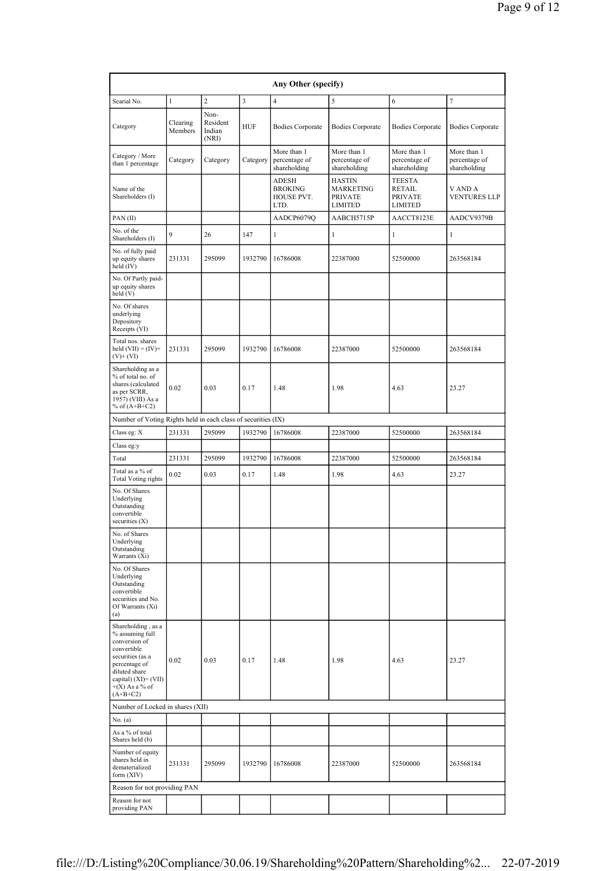| Any Other (specify)                                                                                                                                                                      |                     |                                     |            |                                                      |                                                                       |                                                                    |                                              |
|------------------------------------------------------------------------------------------------------------------------------------------------------------------------------------------|---------------------|-------------------------------------|------------|------------------------------------------------------|-----------------------------------------------------------------------|--------------------------------------------------------------------|----------------------------------------------|
| Searial No.                                                                                                                                                                              | 1                   | $\overline{c}$                      | 3          | $\overline{4}$                                       | 5                                                                     | 6                                                                  | 7                                            |
| Category                                                                                                                                                                                 | Clearing<br>Members | Non-<br>Resident<br>Indian<br>(NRI) | <b>HUF</b> | <b>Bodies Corporate</b>                              | <b>Bodies Corporate</b>                                               | <b>Bodies Corporate</b>                                            | <b>Bodies Corporate</b>                      |
| Category / More<br>than 1 percentage                                                                                                                                                     | Category            | Category                            | Category   | More than 1<br>percentage of<br>shareholding         | More than 1<br>percentage of<br>shareholding                          | More than 1<br>percentage of<br>shareholding                       | More than 1<br>percentage of<br>shareholding |
| Name of the<br>Shareholders (I)                                                                                                                                                          |                     |                                     |            | <b>ADESH</b><br><b>BROKING</b><br>HOUSE PVT.<br>LTD. | <b>HASTIN</b><br><b>MARKETING</b><br><b>PRIVATE</b><br><b>LIMITED</b> | <b>TEESTA</b><br><b>RETAIL</b><br><b>PRIVATE</b><br><b>LIMITED</b> | V AND A<br><b>VENTURES LLP</b>               |
| PAN(II)                                                                                                                                                                                  |                     |                                     |            | AADCP6079Q                                           | AABCH5715P                                                            | AACCT8123E                                                         | AADCV9379B                                   |
| No. of the<br>Shareholders (I)                                                                                                                                                           | 9                   | 26                                  | 147        | 1                                                    | 1                                                                     | 1                                                                  | 1                                            |
| No. of fully paid<br>up equity shares<br>held (IV)                                                                                                                                       | 231331              | 295099                              | 1932790    | 16786008                                             | 22387000                                                              | 52500000                                                           | 263568184                                    |
| No. Of Partly paid-<br>up equity shares<br>held (V)                                                                                                                                      |                     |                                     |            |                                                      |                                                                       |                                                                    |                                              |
| No. Of shares<br>underlying<br>Depository<br>Receipts (VI)                                                                                                                               |                     |                                     |            |                                                      |                                                                       |                                                                    |                                              |
| Total nos. shares<br>held $(VII) = (IV) +$<br>$(V)$ + $(VI)$                                                                                                                             | 231331              | 295099                              | 1932790    | 16786008                                             | 22387000                                                              | 52500000                                                           | 263568184                                    |
| Shareholding as a<br>% of total no. of<br>shares (calculated<br>as per SCRR,<br>1957) (VIII) As a<br>% of $(A+B+C2)$                                                                     | 0.02                | 0.03                                | 0.17       | 1.48                                                 | 1.98                                                                  | 4.63                                                               | 23.27                                        |
| Number of Voting Rights held in each class of securities (IX)                                                                                                                            |                     |                                     |            |                                                      |                                                                       |                                                                    |                                              |
| Class eg: X                                                                                                                                                                              | 231331              | 295099                              | 1932790    | 16786008                                             | 22387000                                                              | 52500000                                                           | 263568184                                    |
| Class eg:y                                                                                                                                                                               |                     |                                     |            |                                                      |                                                                       |                                                                    |                                              |
| Total                                                                                                                                                                                    | 231331              | 295099                              | 1932790    | 16786008                                             | 22387000                                                              | 52500000                                                           | 263568184                                    |
| Total as a % of<br><b>Total Voting rights</b>                                                                                                                                            | 0.02                | 0.03                                | 0.17       | 1.48                                                 | 1.98                                                                  | 4.63                                                               | 23.27                                        |
| No. Of Shares<br>Underlying<br>Outstanding<br>convertible<br>securities $(X)$                                                                                                            |                     |                                     |            |                                                      |                                                                       |                                                                    |                                              |
| No. of Shares<br>Underlying<br>Outstanding<br>Warrants (Xi)                                                                                                                              |                     |                                     |            |                                                      |                                                                       |                                                                    |                                              |
| No. Of Shares<br>Underlying<br>Outstanding<br>convertible<br>securities and No.<br>Of Warrants (Xi)<br>(a)                                                                               |                     |                                     |            |                                                      |                                                                       |                                                                    |                                              |
| Shareholding, as a<br>% assuming full<br>conversion of<br>convertible<br>securities (as a<br>percentage of<br>diluted share<br>capital) $(XI) = (VII)$<br>$+(X)$ As a % of<br>$(A+B+C2)$ | 0.02                | 0.03                                | 0.17       | 1.48                                                 | 1.98                                                                  | 4.63                                                               | 23.27                                        |
| Number of Locked in shares (XII)                                                                                                                                                         |                     |                                     |            |                                                      |                                                                       |                                                                    |                                              |
| No. (a)                                                                                                                                                                                  |                     |                                     |            |                                                      |                                                                       |                                                                    |                                              |
| As a % of total<br>Shares held (b)                                                                                                                                                       |                     |                                     |            |                                                      |                                                                       |                                                                    |                                              |
| Number of equity<br>shares held in<br>dematerialized<br>form $(XIV)$                                                                                                                     | 231331              | 295099                              | 1932790    | 16786008                                             | 22387000                                                              | 52500000                                                           | 263568184                                    |
| Reason for not providing PAN                                                                                                                                                             |                     |                                     |            |                                                      |                                                                       |                                                                    |                                              |
| Reason for not<br>providing PAN                                                                                                                                                          |                     |                                     |            |                                                      |                                                                       |                                                                    |                                              |